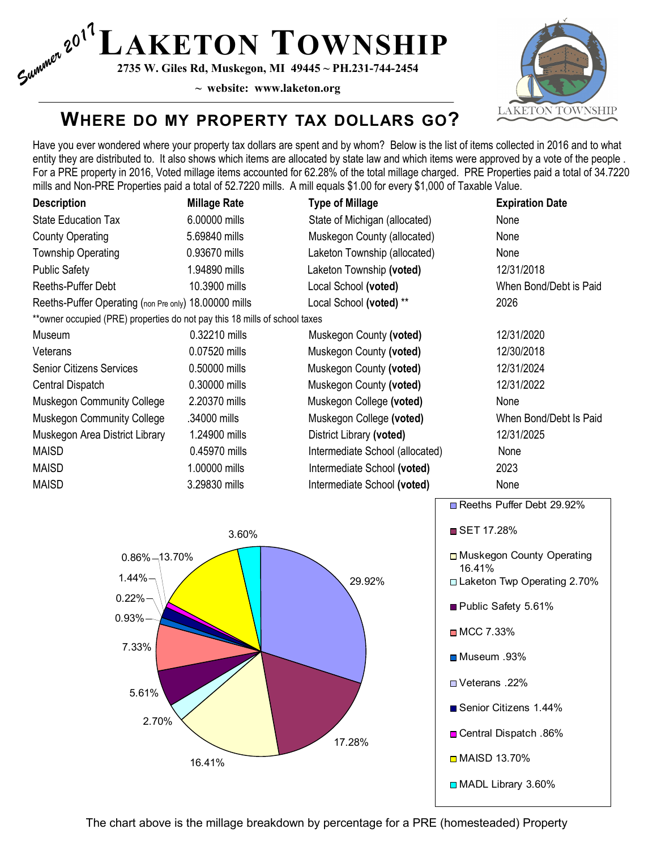$S_{\text{untr}}^{(n)}$   $2^{0^1}$  **LAKETON TOWNSHIP**<br> $S_{\text{untr}}^{(n)}$   $2^{735}$  W. Giles Rd, Muskegon, MI 49445 ~ PH.231-744-2454

2735 W. Giles Rd, Muskegon, MI 49445 ~ PH.231-744-2454



### WHERE DO MY PROPERTY TAX DOLLARS GO?

Have you ever wondered where your property tax dollars are spent and by whom? Below is the list of items collected in 2016 and to what entity they are distributed to. It also shows which items are allocated by state law and which items were approved by a vote of the people . For a PRE property in 2016, Voted millage items accounted for 62.28% of the total millage charged. PRE Properties paid a total of 34.7220 mills and Non-PRE Properties paid a total of 52.7220 mills. A mill equals \$1.00 for every \$1,000 of Taxable Value.

| <b>Description</b>                                                         | <b>Millage Rate</b> | <b>Type of Millage</b>          | <b>Expiration Date</b>                    |
|----------------------------------------------------------------------------|---------------------|---------------------------------|-------------------------------------------|
| <b>State Education Tax</b>                                                 | 6.00000 mills       | State of Michigan (allocated)   | None                                      |
| <b>County Operating</b>                                                    | 5.69840 mills       | Muskegon County (allocated)     | None                                      |
| Township Operating                                                         | 0.93670 mills       | Laketon Township (allocated)    | None                                      |
| <b>Public Safety</b>                                                       | 1.94890 mills       | Laketon Township (voted)        | 12/31/2018                                |
| Reeths-Puffer Debt                                                         | 10.3900 mills       | Local School (voted)            | When Bond/Debt is Paid                    |
| Reeths-Puffer Operating (non Pre only) 18.00000 mills                      |                     | Local School (voted) **         | 2026                                      |
| **owner occupied (PRE) properties do not pay this 18 mills of school taxes |                     |                                 |                                           |
| Museum                                                                     | 0.32210 mills       | Muskegon County (voted)         | 12/31/2020                                |
| Veterans                                                                   | 0.07520 mills       | Muskegon County (voted)         | 12/30/2018                                |
| <b>Senior Citizens Services</b>                                            | 0.50000 mills       | Muskegon County (voted)         | 12/31/2024                                |
| Central Dispatch                                                           | 0.30000 mills       | Muskegon County (voted)         | 12/31/2022                                |
| Muskegon Community College                                                 | 2.20370 mills       | Muskegon College (voted)        | None                                      |
| Muskegon Community College                                                 | .34000 mills        | Muskegon College (voted)        | When Bond/Debt Is Paid                    |
| Muskegon Area District Library                                             | 1.24900 mills       | District Library (voted)        | 12/31/2025                                |
| MAISD                                                                      | 0.45970 mills       | Intermediate School (allocated) | None                                      |
| <b>MAISD</b>                                                               | 1.00000 mills       | Intermediate School (voted)     | 2023                                      |
| MAISD                                                                      | 3.29830 mills       | Intermediate School (voted)     | None                                      |
|                                                                            | 3.60%               |                                 | Reeths Puffer Debt 29.92%<br>■ SET 17.28% |
|                                                                            |                     |                                 |                                           |
| $0.86\% - 13.70\%$                                                         |                     |                                 | □ Muskegon County Operating<br>16.41%     |
| 1.44%                                                                      |                     | 29.92%                          | Laketon Twp Operating 2.70%               |
| 0.22%<br>0.93%                                                             |                     |                                 |                                           |
|                                                                            |                     |                                 | Public Safety 5.61%                       |
| 7.33%                                                                      |                     |                                 | ■ MCC 7.33%                               |
| 5.61%                                                                      |                     |                                 | ■Museum .93%                              |
|                                                                            |                     |                                 | ■Veterans .22%                            |
| 2.70%                                                                      |                     |                                 | Senior Citizens 1.44%                     |
|                                                                            |                     | 17.28%                          | □ Central Dispatch .86%                   |
| 16.41%                                                                     |                     |                                 | <b>IMAISD 13.70%</b>                      |
|                                                                            |                     |                                 | MADL Library 3.60%                        |